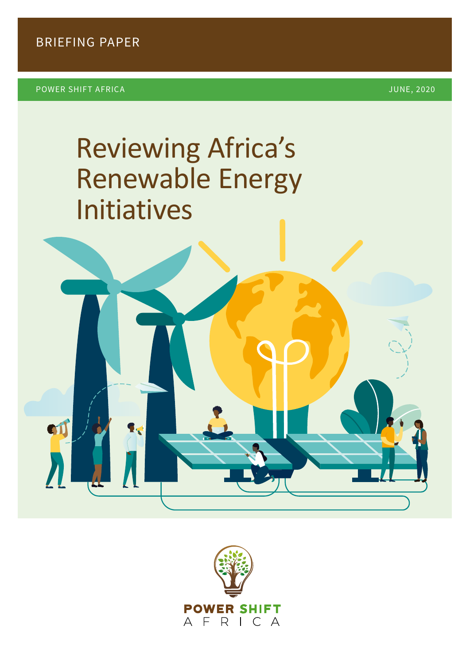**SIJ** 

# Reviewing Africa's Renewable Energy Initiatives

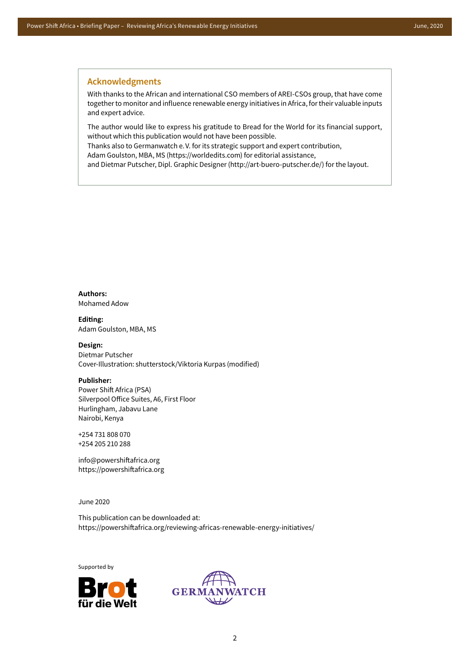#### **Acknowledgments**

With thanks to the African and international CSO members of AREI-CSOs group, that have come together to monitor and influence renewable energy initiatives in Africa, for their valuable inputs and expert advice.

The author would like to express his gratitude to Bread for the World for its financial support, without which this publication would not have been possible.

Thanks also to Germanwatch e.V. for its strategic support and expert contribution,

Adam Goulston, MBA, MS (https://worldedits.com) for editorial assistance,

and Dietmar Putscher, Dipl. Graphic Designer (http://art-buero-putscher.de/) for the layout.

**Authors:**  Mohamed Adow

**Editing:**  Adam Goulston, MBA, MS

**Design:**  Dietmar Putscher Cover-Illustration: shutterstock/Viktoria Kurpas (modified)

#### **Publisher:**

Power Shift Africa (PSA) Silverpool Office Suites, A6, First Floor Hurlingham, Jabavu Lane Nairobi, Kenya

+254 731 808 070 +254 205 210 288

info@powershiftafrica.org https://powershiftafrica.org

June 2020

This publication can be downloaded at: https://powershiftafrica.org/reviewing-africas-renewable-energy-initiatives/

Supported by



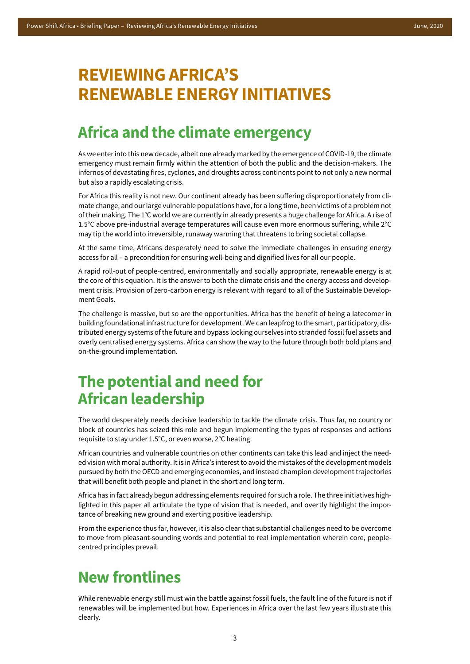## **REVIEWING AFRICA'S RENEWABLE ENERGY INITIATIVES**

### **Africa and the climate emergency**

As we enter into this new decade, albeit one already marked by the emergence of COVID-19, the climate emergency must remain firmly within the attention of both the public and the decision-makers. The infernos of devastating fires, cyclones, and droughts across continents point to not only a new normal but also a rapidly escalating crisis.

For Africa this reality is not new. Our continent already has been suffering disproportionately from climate change, and our large vulnerable populations have, for a long time, been victims of a problem not of their making. The 1°C world we are currently in already presents a huge challenge for Africa. A rise of 1.5°C above pre-industrial average temperatures will cause even more enormous suffering, while 2°C may tip the world into irreversible, runaway warming that threatens to bring societal collapse.

At the same time, Africans desperately need to solve the immediate challenges in ensuring energy access for all – a precondition for ensuring well-being and dignified lives for all our people.

A rapid roll-out of people-centred, environmentally and socially appropriate, renewable energy is at the core of this equation. It is the answer to both the climate crisis and the energy access and development crisis. Provision of zero-carbon energy is relevant with regard to all of the Sustainable Development Goals.

The challenge is massive, but so are the opportunities. Africa has the benefit of being a latecomer in building foundational infrastructure for development. We can leapfrog to the smart, participatory, distributed energy systems of the future and bypass locking ourselves into stranded fossil fuel assets and overly centralised energy systems. Africa can show the way to the future through both bold plans and on-the-ground implementation.

### **The potential and need for African leadership**

The world desperately needs decisive leadership to tackle the climate crisis. Thus far, no country or block of countries has seized this role and begun implementing the types of responses and actions requisite to stay under 1.5°C, or even worse, 2°C heating.

African countries and vulnerable countries on other continents can take this lead and inject the needed vision with moral authority. It is in Africa's interest to avoid the mistakes of the development models pursued by both the OECD and emerging economies, and instead champion development trajectories that will benefit both people and planet in the short and long term.

Africa has in fact already begun addressing elements required for such a role. The three initiatives highlighted in this paper all articulate the type of vision that is needed, and overtly highlight the importance of breaking new ground and exerting positive leadership.

From the experience thus far, however, it is also clear that substantial challenges need to be overcome to move from pleasant-sounding words and potential to real implementation wherein core, peoplecentred principles prevail.

## **New frontlines**

While renewable energy still must win the battle against fossil fuels, the fault line of the future is not if renewables will be implemented but how. Experiences in Africa over the last few years illustrate this clearly.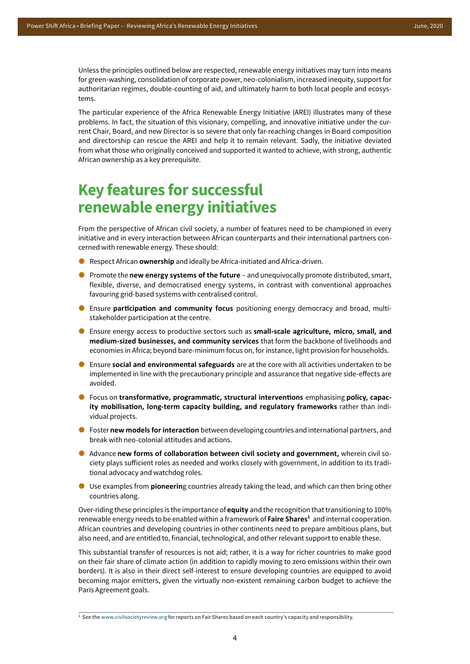Unless the principles outlined below are respected, renewable energy initiatives may turn into means for green-washing, consolidation of corporate power, neo-colonialism, increased inequity, support for authoritarian regimes, double-counting of aid, and ultimately harm to both local people and ecosystems.

The particular experience of the Africa Renewable Energy Initiative (AREI) illustrates many of these problems. In fact, the situation of this visionary, compelling, and innovative initiative under the current Chair, Board, and new Director is so severe that only far-reaching changes in Board composition and directorship can rescue the AREI and help it to remain relevant. Sadly, the initiative deviated from what those who originally conceived and supported it wanted to achieve, with strong, authentic African ownership as a key prerequisite.

## **Key features for successful renewable energy initiatives**

From the perspective of African civil society, a number of features need to be championed in every initiative and in every interaction between African counterparts and their international partners concerned with renewable energy. These should:

- Respect African **ownership** and ideally be Africa-initiated and Africa-driven.
- **P** Promote the **new energy systems of the future** and unequivocally promote distributed, smart, flexible, diverse, and democratised energy systems, in contrast with conventional approaches favouring grid-based systems with centralised control.
- Ensure **participation and community focus** positioning energy democracy and broad, multistakeholder participation at the centre.
- Ensure energy access to productive sectors such as **small-scale agriculture, micro, small, and medium-sized businesses, and community services** that form the backbone of livelihoods and economies in Africa; beyond bare-minimum focus on, for instance, light provision for households.
- Ensure **social and environmental safeguards** are at the core with all activities undertaken to be implemented in line with the precautionary principle and assurance that negative side-effects are avoided.
- Focus on **transformative, programmatic, structural interventions** emphasising **policy, capacity mobilisation, long-term capacity building, and regulatory frameworks** rather than individual projects.
- **•** Foster new models for interaction between developing countries and international partners, and break with neo-colonial attitudes and actions.
- Advance **new forms of collaboration between civil society and government,** wherein civil society plays sufficient roles as needed and works closely with government, in addition to its traditional advocacy and watchdog roles.
- Use examples from **pioneerin**g countries already taking the lead, and which can then bring other countries along.

Over-riding these principles is the importance of **equity** and the recognition that transitioning to 100% renewable energy needs to be enabled within a framework of **Faire Shares<sup>1</sup>** and internal cooperation. African countries and developing countries in other continents need to prepare ambitious plans, but also need, and are entitled to, financial, technological, and other relevant support to enable these.

This substantial transfer of resources is not aid; rather, it is a way for richer countries to make good on their fair share of climate action (in addition to rapidly moving to zero emissions within their own borders). It is also in their direct self-interest to ensure developing countries are equipped to avoid becoming major emitters, given the virtually non-existent remaining carbon budget to achieve the Paris Agreement goals.

<sup>&</sup>lt;sup>1</sup> See the [www.civilsocietyreview.org](http://www.civilsocietyreview.org) for reports on Fair Shares based on each country's capacity and responsibility.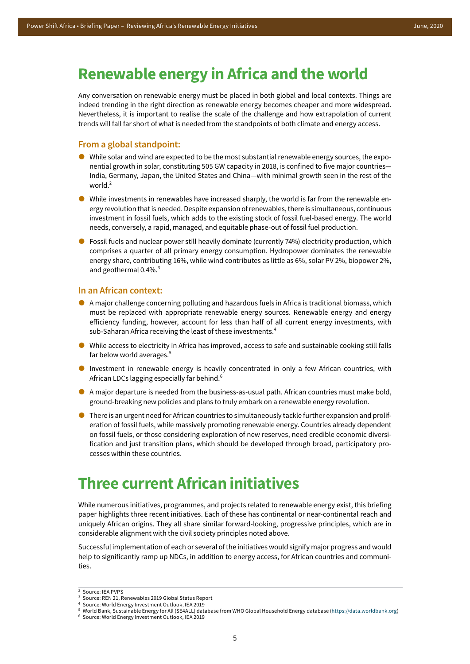### **Renewable energy in Africa and the world**

Any conversation on renewable energy must be placed in both global and local contexts. Things are indeed trending in the right direction as renewable energy becomes cheaper and more widespread. Nevertheless, it is important to realise the scale of the challenge and how extrapolation of current trends will fall far short of what is needed from the standpoints of both climate and energy access.

#### **From a global standpoint:**

- While solar and wind are expected to be the most substantial renewable energy sources, the exponential growth in solar, constituting 505 GW capacity in 2018, is confined to five major countries— India, Germany, Japan, the United States and China—with minimal growth seen in the rest of the world.<sup>2</sup>
- While investments in renewables have increased sharply, the world is far from the renewable energy revolution that is needed. Despite expansion of renewables, there is simultaneous, continuous investment in fossil fuels, which adds to the existing stock of fossil fuel-based energy. The world needs, conversely, a rapid, managed, and equitable phase-out of fossil fuel production.
- **•** Fossil fuels and nuclear power still heavily dominate (currently 74%) electricity production, which comprises a quarter of all primary energy consumption. Hydropower dominates the renewable energy share, contributing 16%, while wind contributes as little as 6%, solar PV 2%, biopower 2%, and geothermal 0.4%. $3$

#### **In an African context:**

- A major challenge concerning polluting and hazardous fuels in Africa is traditional biomass, which must be replaced with appropriate renewable energy sources. Renewable energy and energy efficiency funding, however, account for less than half of all current energy investments, with sub-Saharan Africa receiving the least of these investments.<sup>4</sup>
- While access to electricity in Africa has improved, access to safe and sustainable cooking still falls far below world averages.<sup>5</sup>
- Investment in renewable energy is heavily concentrated in only a few African countries, with African LDCs lagging especially far behind.<sup>6</sup>
- A major departure is needed from the business-as-usual path. African countries must make bold, ground-breaking new policies and plans to truly embark on a renewable energy revolution.
- There is an urgent need for African countries to simultaneously tackle further expansion and proliferation of fossil fuels, while massively promoting renewable energy. Countries already dependent on fossil fuels, or those considering exploration of new reserves, need credible economic diversification and just transition plans, which should be developed through broad, participatory processes within these countries.

### **Three current African initiatives**

While numerous initiatives, programmes, and projects related to renewable energy exist, this briefing paper highlights three recent initiatives. Each of these has continental or near-continental reach and uniquely African origins. They all share similar forward-looking, progressive principles, which are in considerable alignment with the civil society principles noted above.

Successful implementation of each or several of the initiatives would signify major progress and would help to significantly ramp up NDCs, in addition to energy access, for African countries and communities.

<sup>6</sup> Source: World Energy Investment Outlook, IEA 2019

<sup>2</sup> Source: IEA PVPS

<sup>3</sup> Source: REN 21, Renewables 2019 Global Status Report

<sup>4</sup> Source: World Energy Investment Outlook, IEA 2019

<sup>5</sup> World Bank, Sustainable Energy for All (SE4ALL) database from WHO Global Household Energy database (https://data.worldbank.org)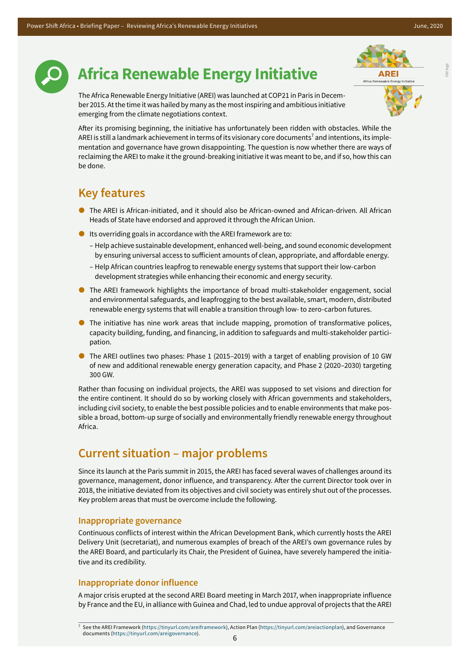Old logo



## **Africa Renewable Energy Initiative**



The Africa Renewable Energy Initiative (AREI) was launched at COP21 in Paris in December 2015. At the time it was hailed by many as the most inspiring and ambitious initiative emerging from the climate negotiations context.

After its promising beginning, the initiative has unfortunately been ridden with obstacles. While the AREI is still a landmark achievement in terms of its visionary core documents<sup>7</sup> and intentions, its implementation and governance have grown disappointing. The question is now whether there are ways of reclaiming the AREI to make it the ground-breaking initiative it was meant to be, and if so, how this can be done.

### **Key features**

- The AREI is African-initiated, and it should also be African-owned and African-driven. All African Heads of State have endorsed and approved it through the African Union.
- $\bullet$  Its overriding goals in accordance with the AREI framework are to:
	- Help achieve sustainable development, enhanced well-being, and sound economic development by ensuring universal access to sufficient amounts of clean, appropriate, and affordable energy.
	- Help African countries leapfrog to renewable energy systems that support their low-carbon development strategies while enhancing their economic and energy security.
- The AREI framework highlights the importance of broad multi-stakeholder engagement, social and environmental safeguards, and leapfrogging to the best available, smart, modern, distributed renewable energy systems that will enable a transition through low- to zero-carbon futures.
- The initiative has nine work areas that include mapping, promotion of transformative polices, capacity building, funding, and financing, in addition to safeguards and multi-stakeholder participation.
- The AREI outlines two phases: Phase 1 (2015–2019) with a target of enabling provision of 10 GW of new and additional renewable energy generation capacity, and Phase 2 (2020–2030) targeting 300 GW.

Rather than focusing on individual projects, the AREI was supposed to set visions and direction for the entire continent. It should do so by working closely with African governments and stakeholders, including civil society, to enable the best possible policies and to enable environments that make possible a broad, bottom-up surge of socially and environmentally friendly renewable energy throughout Africa.

### **Current situation – major problems**

Since its launch at the Paris summit in 2015, the AREI has faced several waves of challenges around its governance, management, donor influence, and transparency. After the current Director took over in 2018, the initiative deviated from its objectives and civil society was entirely shut out of the processes. Key problem areas that must be overcome include the following.

#### **Inappropriate governance**

Continuous conflicts of interest within the African Development Bank, which currently hosts the AREI Delivery Unit (secretariat), and numerous examples of breach of the AREI's own governance rules by the AREI Board, and particularly its Chair, the President of Guinea, have severely hampered the initiative and its credibility.

#### **Inappropriate donor influence**

A major crisis erupted at the second AREI Board meeting in March 2017, when inappropriate influence by France and the EU, in alliance with Guinea and Chad, led to undue approval of projects that the AREI

<sup>7</sup> See the AREI Framework (<https://tinyurl.com/areiframework>), Action Plan ([https://tinyurl.com/areiactionplan\)](https://tinyurl.com/areiactionplan), and Governance documents (<https://tinyurl.com/areigovernance>).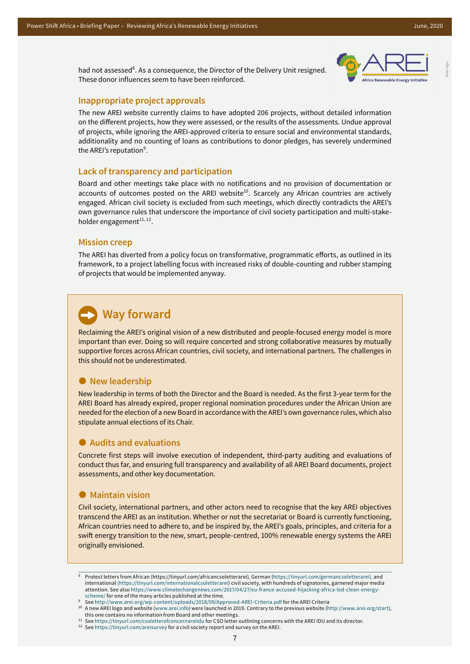New logo

had not assessed<sup>8</sup>. As a consequence, the Director of the Delivery Unit resigned. These donor influences seem to have been reinforced.



#### **Inappropriate project approvals**

The new AREI website currently claims to have adopted 206 projects, without detailed information on the different projects, how they were assessed, or the results of the assessments. Undue approval of projects, while ignoring the AREI-approved criteria to ensure social and environmental standards, additionality and no counting of loans as contributions to donor pledges, has severely undermined the AREI's reputation $^9$ .

#### **Lack of transparency and participation**

Board and other meetings take place with no notifications and no provision of documentation or accounts of outcomes posted on the AREI website<sup>10</sup>. Scarcely any African countries are actively engaged. African civil society is excluded from such meetings, which directly contradicts the AREI's own governance rules that underscore the importance of civil society participation and multi-stakeholder engagement $11, 12$ .

#### **Mission creep**

The AREI has diverted from a policy focus on transformative, programmatic efforts, as outlined in its framework, to a project labelling focus with increased risks of double-counting and rubber stamping of projects that would be implemented anyway.

#### **Way forward**

Reclaiming the AREI's original vision of a new distributed and people-focused energy model is more important than ever. Doing so will require concerted and strong collaborative measures by mutually supportive forces across African countries, civil society, and international partners. The challenges in this should not be underestimated.

#### $\bullet$  New leadership

New leadership in terms of both the Director and the Board is needed. As the first 3-year term for the AREI Board has already expired, proper regional nomination procedures under the African Union are needed for the election of a new Board in accordance with the AREI's own governance rules, which also stipulate annual elections of its Chair.

#### **Audits and evaluations**

Concrete first steps will involve execution of independent, third-party auditing and evaluations of conduct thus far, and ensuring full transparency and availability of all AREI Board documents, project assessments, and other key documentation.

#### **Maintain vision**

Civil society, international partners, and other actors need to recognise that the key AREI objectives transcend the AREI as an institution. Whether or not the secretariat or Board is currently functioning, African countries need to adhere to, and be inspired by, the AREI's goals, principles, and criteria for a swift energy transition to the new, smart, people-centred, 100% renewable energy systems the AREI originally envisioned.

<sup>8</sup> Protest letters from African (https://tinyurl.com/africancsoletterarei), German (https://tinyurl.com/germancsoletterarei), and international (https://tinyurl.com/internationalcsoletterarei) civil society, with hundreds of signatories, garnered major media attention. See also [https://www.climatechangenews.com/2017/04/27/eu-france-accused-hijacking-africa-led-clean-energy](https://www.climatechangenews.com/2017/04/27/eu-france-accused-hijacking-africa-led-clean-energy-scheme/)[scheme/](https://www.climatechangenews.com/2017/04/27/eu-france-accused-hijacking-africa-led-clean-energy-scheme/) for one of the many articles published at the time.

<sup>9</sup> See http://www.arei.org/wp-content/uploads/2018/09/Approved-AREI-Criteria.pdf for the AREI Criteria

<sup>10</sup> A new AREI logo and website (www.arei.info) were launched in 2019. Contrary to the previous website (http://www.arei.org/start), this one contains no information from Board and other meetings.

<sup>11</sup> See https://tinyurl.com/csoletterofconcernareiidu for CSO letter outlining concerns with the AREI IDU and its director.

<sup>12</sup> See https://tinyurl.com/areisurvey for a civil society report and survey on the AREI.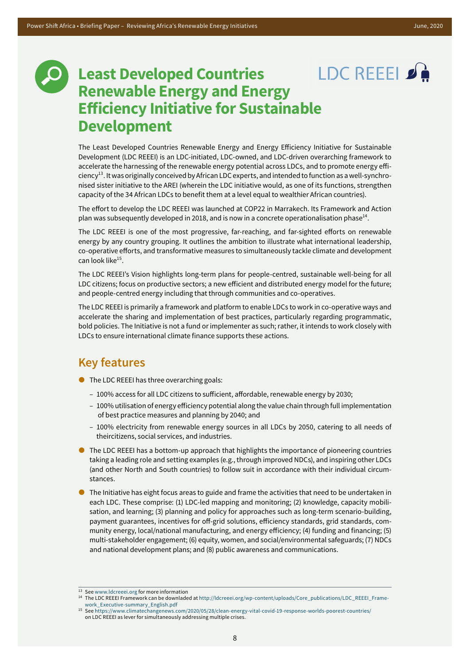### LDC REEEL S **Least Developed Countries Renewable Energy and Energy Efficiency Initiative for Sustainable Development**

The Least Developed Countries Renewable Energy and Energy Efficiency Initiative for Sustainable Development (LDC REEEI) is an LDC-initiated, LDC-owned, and LDC-driven overarching framework to accelerate the harnessing of the renewable energy potential across LDCs, and to promote energy efficiency<sup>13</sup>. It was originally conceived by African LDC experts, and intended to function as a well-synchronised sister initiative to the AREI (wherein the LDC initiative would, as one of its functions, strengthen capacity of the 34 African LDCs to benefit them at a level equal to wealthier African countries).

The effort to develop the LDC REEEI was launched at COP22 in Marrakech. Its Framework and Action plan was subsequently developed in 2018, and is now in a concrete operationalisation phase<sup>14</sup>.

The LDC REEEI is one of the most progressive, far-reaching, and far-sighted efforts on renewable energy by any country grouping. It outlines the ambition to illustrate what international leadership, co-operative efforts, and transformative measures to simultaneously tackle climate and development can look like<sup>15</sup>.

The LDC REEEI's Vision highlights long-term plans for people-centred, sustainable well-being for all LDC citizens; focus on productive sectors; a new efficient and distributed energy model for the future; and people-centred energy including that through communities and co-operatives.

The LDC REEEI is primarily a framework and platform to enable LDCs to work in co-operative ways and accelerate the sharing and implementation of best practices, particularly regarding programmatic, bold policies. The Initiative is not a fund or implementer as such; rather, it intends to work closely with LDCs to ensure international climate finance supports these actions.

### **Key features**

- The LDC REEEI has three overarching goals:
	- 100% access for all LDC citizens to sufficient, affordable, renewable energy by 2030;
	- 100% utilisation of energy efficiency potential along the value chain through full implementation of best practice measures and planning by 2040; and
	- 100% electricity from renewable energy sources in all LDCs by 2050, catering to all needs of theircitizens, social services, and industries.
- **The LDC REEEI has a bottom-up approach that highlights the importance of pioneering countries** taking a leading role and setting examples (e.g., through improved NDCs), and inspiring other LDCs (and other North and South countries) to follow suit in accordance with their individual circumstances.
- **The Initiative has eight focus areas to guide and frame the activities that need to be undertaken in** each LDC. These comprise: (1) LDC-led mapping and monitoring; (2) knowledge, capacity mobilisation, and learning; (3) planning and policy for approaches such as long-term scenario-building, payment guarantees, incentives for off-grid solutions, efficiency standards, grid standards, community energy, local/national manufacturing, and energy efficiency; (4) funding and financing; (5) multi-stakeholder engagement; (6) equity, women, and social/environmental safeguards; (7) NDCs and national development plans; and (8) public awareness and communications.

<sup>13</sup> See www.ldcreeei.org for more information

<sup>14</sup> The LDC REEEI Framework can be downladed at [http://ldcreeei.org/wp-content/uploads/Core\\_publications/LDC\\_REEEI\\_Frame](http://ldcreeei.org/wp-content/uploads/Core_publications/LDC_REEEI_Framework_Executive-summary_English.pdf)[work\\_Executive-summary\\_English.pdf](http://ldcreeei.org/wp-content/uploads/Core_publications/LDC_REEEI_Framework_Executive-summary_English.pdf)

<sup>15</sup> See https://www.climatechangenews.com/2020/05/28/clean-energy-vital-covid-19-response-worlds-poorest-countries/ on LDC REEEI as lever for simultaneously addressing multiple crises.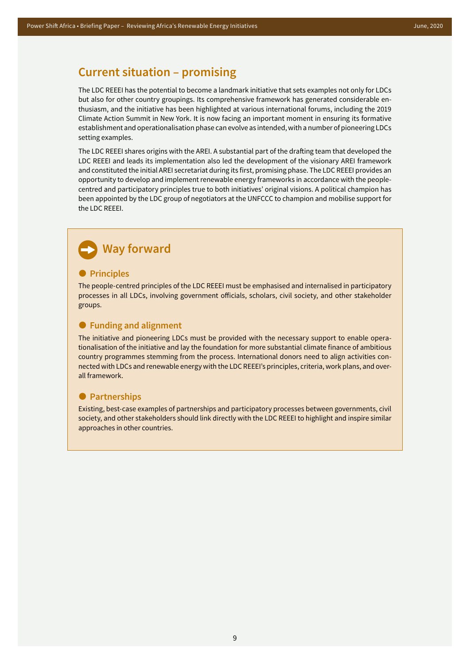#### **Current situation – promising**

The LDC REEEI has the potential to become a landmark initiative that sets examples not only for LDCs but also for other country groupings. Its comprehensive framework has generated considerable enthusiasm, and the initiative has been highlighted at various international forums, including the 2019 Climate Action Summit in New York. It is now facing an important moment in ensuring its formative establishment and operationalisation phase can evolve as intended, with a number of pioneering LDCs setting examples.

The LDC REEEI shares origins with the AREI. A substantial part of the drafting team that developed the LDC REEEI and leads its implementation also led the development of the visionary AREI framework and constituted the initial AREI secretariat during its first, promising phase. The LDC REEEI provides an opportunity to develop and implement renewable energy frameworks in accordance with the peoplecentred and participatory principles true to both initiatives' original visions. A political champion has been appointed by the LDC group of negotiators at the UNFCCC to champion and mobilise support for the LDC REEEI.

#### **Way forward**

#### **•** Principles

The people-centred principles of the LDC REEEI must be emphasised and internalised in participatory processes in all LDCs, involving government officials, scholars, civil society, and other stakeholder groups.

#### **Funding and alignment**

The initiative and pioneering LDCs must be provided with the necessary support to enable operationalisation of the initiative and lay the foundation for more substantial climate finance of ambitious country programmes stemming from the process. International donors need to align activities connected with LDCs and renewable energy with the LDC REEEI's principles, criteria, work plans, and overall framework.

#### **Partnerships**

Existing, best-case examples of partnerships and participatory processes between governments, civil society, and other stakeholders should link directly with the LDC REEEI to highlight and inspire similar approaches in other countries.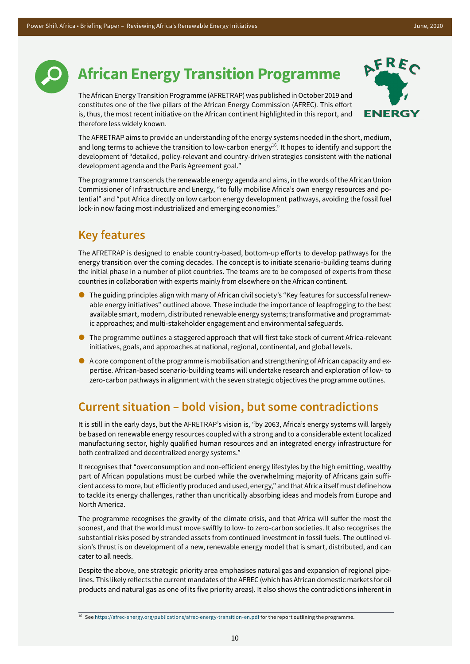

## **African Energy Transition Programme**

The African Energy Transition Programme (AFRETRAP) was published in October 2019 and constitutes one of the five pillars of the African Energy Commission (AFREC). This effort is, thus, the most recent initiative on the African continent highlighted in this report, and therefore less widely known.



The AFRETRAP aims to provide an understanding of the energy systems needed in the short, medium, and long terms to achieve the transition to low-carbon energy<sup>16</sup>. It hopes to identify and support the development of "detailed, policy-relevant and country-driven strategies consistent with the national development agenda and the Paris Agreement goal."

The programme transcends the renewable energy agenda and aims, in the words of the African Union Commissioner of Infrastructure and Energy, "to fully mobilise Africa's own energy resources and potential" and "put Africa directly on low carbon energy development pathways, avoiding the fossil fuel lock-in now facing most industrialized and emerging economies."

#### **Key features**

The AFRETRAP is designed to enable country-based, bottom-up efforts to develop pathways for the energy transition over the coming decades. The concept is to initiate scenario-building teams during the initial phase in a number of pilot countries. The teams are to be composed of experts from these countries in collaboration with experts mainly from elsewhere on the African continent.

- The guiding principles align with many of African civil society's "Key features for successful renewable energy initiatives" outlined above. These include the importance of leapfrogging to the best available smart, modern, distributed renewable energy systems; transformative and programmatic approaches; and multi-stakeholder engagement and environmental safeguards.
- The programme outlines a staggered approach that will first take stock of current Africa-relevant initiatives, goals, and approaches at national, regional, continental, and global levels.
- A core component of the programme is mobilisation and strengthening of African capacity and expertise. African-based scenario-building teams will undertake research and exploration of low- to zero-carbon pathways in alignment with the seven strategic objectives the programme outlines.

#### **Current situation – bold vision, but some contradictions**

It is still in the early days, but the AFRETRAP's vision is, "by 2063, Africa's energy systems will largely be based on renewable energy resources coupled with a strong and to a considerable extent localized manufacturing sector, highly qualified human resources and an integrated energy infrastructure for both centralized and decentralized energy systems."

It recognises that "overconsumption and non-efficient energy lifestyles by the high emitting, wealthy part of African populations must be curbed while the overwhelming majority of Africans gain sufficient access to more, but efficiently produced and used, energy," and that Africa itself must define how to tackle its energy challenges, rather than uncritically absorbing ideas and models from Europe and North America.

The programme recognises the gravity of the climate crisis, and that Africa will suffer the most the soonest, and that the world must move swiftly to low- to zero-carbon societies. It also recognises the substantial risks posed by stranded assets from continued investment in fossil fuels. The outlined vision's thrust is on development of a new, renewable energy model that is smart, distributed, and can cater to all needs.

Despite the above, one strategic priority area emphasises natural gas and expansion of regional pipelines. This likely reflects the current mandates of the AFREC (which has African domestic markets for oil products and natural gas as one of its five priority areas). It also shows the contradictions inherent in

<sup>16</sup> See https://afrec-energy.org/publications/afrec-energy-transition-en.pdf for the report outlining the programme.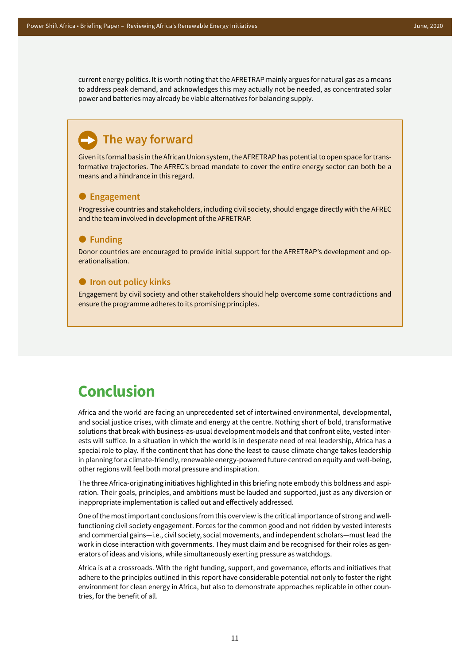current energy politics. It is worth noting that the AFRETRAP mainly argues for natural gas as a means to address peak demand, and acknowledges this may actually not be needed, as concentrated solar power and batteries may already be viable alternatives for balancing supply.

#### **The way forward**

Given its formal basis in the African Union system, the AFRETRAP has potential to open space for transformative trajectories. The AFREC's broad mandate to cover the entire energy sector can both be a means and a hindrance in this regard.

#### **Engagement**

Progressive countries and stakeholders, including civil society, should engage directly with the AFREC and the team involved in development of the AFRETRAP.

#### **Funding**

Donor countries are encouraged to provide initial support for the AFRETRAP's development and operationalisation.

#### $\bullet$  **Iron out policy kinks**

Engagement by civil society and other stakeholders should help overcome some contradictions and ensure the programme adheres to its promising principles.

### **Conclusion**

Africa and the world are facing an unprecedented set of intertwined environmental, developmental, and social justice crises, with climate and energy at the centre. Nothing short of bold, transformative solutions that break with business-as-usual development models and that confront elite, vested interests will suffice. In a situation in which the world is in desperate need of real leadership, Africa has a special role to play. If the continent that has done the least to cause climate change takes leadership in planning for a climate-friendly, renewable energy-powered future centred on equity and well-being, other regions will feel both moral pressure and inspiration.

The three Africa-originating initiatives highlighted in this briefing note embody this boldness and aspiration. Their goals, principles, and ambitions must be lauded and supported, just as any diversion or inappropriate implementation is called out and effectively addressed.

One of the most important conclusions from this overview is the critical importance of strong and wellfunctioning civil society engagement. Forces for the common good and not ridden by vested interests and commercial gains—i.e., civil society, social movements, and independent scholars—must lead the work in close interaction with governments. They must claim and be recognised for their roles as generators of ideas and visions, while simultaneously exerting pressure as watchdogs.

Africa is at a crossroads. With the right funding, support, and governance, efforts and initiatives that adhere to the principles outlined in this report have considerable potential not only to foster the right environment for clean energy in Africa, but also to demonstrate approaches replicable in other countries, for the benefit of all.